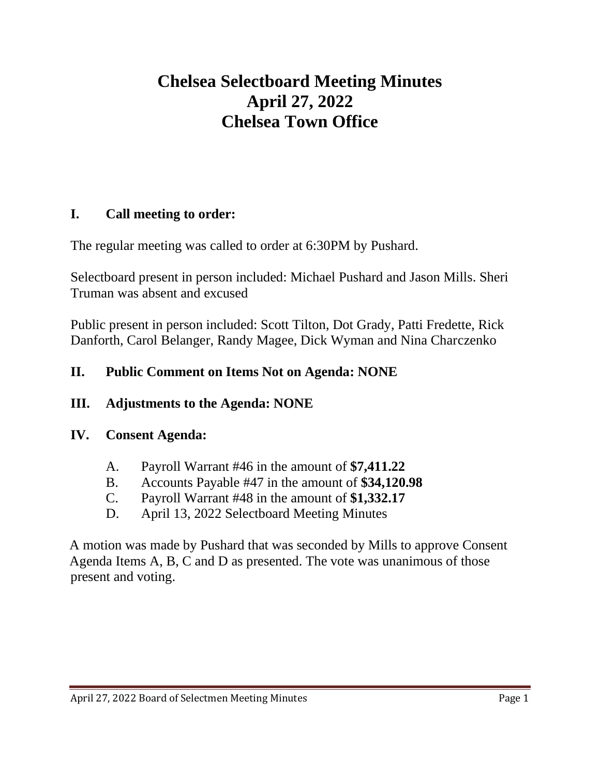# **Chelsea Selectboard Meeting Minutes April 27, 2022 Chelsea Town Office**

### **I. Call meeting to order:**

The regular meeting was called to order at 6:30PM by Pushard.

Selectboard present in person included: Michael Pushard and Jason Mills. Sheri Truman was absent and excused

Public present in person included: Scott Tilton, Dot Grady, Patti Fredette, Rick Danforth, Carol Belanger, Randy Magee, Dick Wyman and Nina Charczenko

#### **II. Public Comment on Items Not on Agenda: NONE**

#### **III. Adjustments to the Agenda: NONE**

#### **IV. Consent Agenda:**

- A. Payroll Warrant #46 in the amount of **\$7,411.22**
- B. Accounts Payable #47 in the amount of **\$34,120.98**
- C. Payroll Warrant #48 in the amount of **\$1,332.17**
- D. April 13, 2022 Selectboard Meeting Minutes

A motion was made by Pushard that was seconded by Mills to approve Consent Agenda Items A, B, C and D as presented. The vote was unanimous of those present and voting.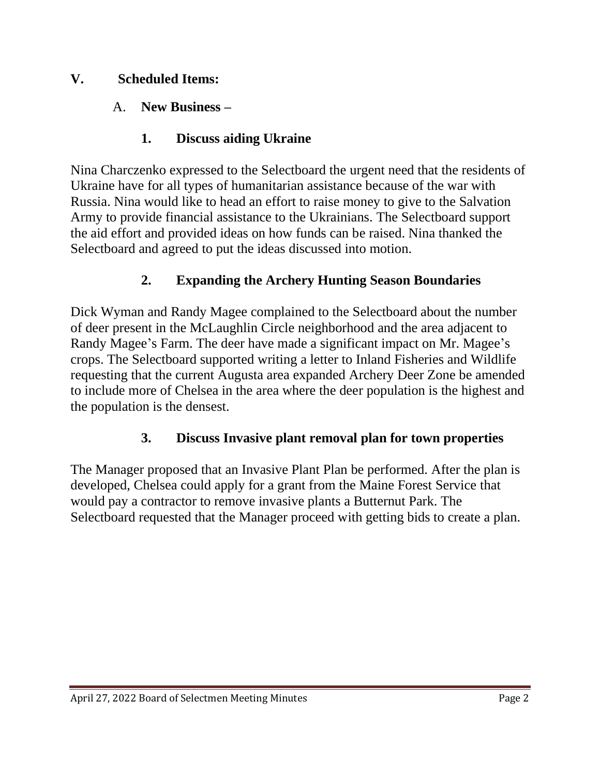### **V. Scheduled Items:**

### A. **New Business –**

### **1. Discuss aiding Ukraine**

Nina Charczenko expressed to the Selectboard the urgent need that the residents of Ukraine have for all types of humanitarian assistance because of the war with Russia. Nina would like to head an effort to raise money to give to the Salvation Army to provide financial assistance to the Ukrainians. The Selectboard support the aid effort and provided ideas on how funds can be raised. Nina thanked the Selectboard and agreed to put the ideas discussed into motion.

### **2. Expanding the Archery Hunting Season Boundaries**

Dick Wyman and Randy Magee complained to the Selectboard about the number of deer present in the McLaughlin Circle neighborhood and the area adjacent to Randy Magee's Farm. The deer have made a significant impact on Mr. Magee's crops. The Selectboard supported writing a letter to Inland Fisheries and Wildlife requesting that the current Augusta area expanded Archery Deer Zone be amended to include more of Chelsea in the area where the deer population is the highest and the population is the densest.

### **3. Discuss Invasive plant removal plan for town properties**

The Manager proposed that an Invasive Plant Plan be performed. After the plan is developed, Chelsea could apply for a grant from the Maine Forest Service that would pay a contractor to remove invasive plants a Butternut Park. The Selectboard requested that the Manager proceed with getting bids to create a plan.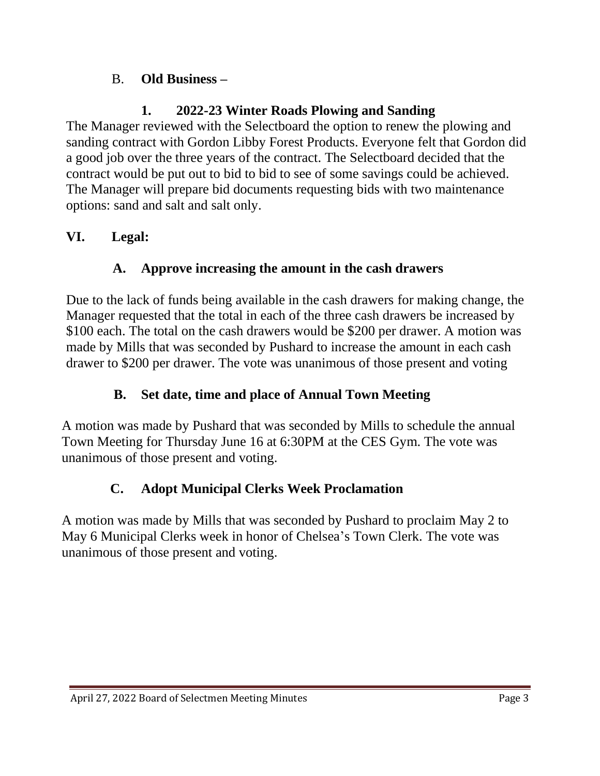### B. **Old Business –**

## **1. 2022-23 Winter Roads Plowing and Sanding**

The Manager reviewed with the Selectboard the option to renew the plowing and sanding contract with Gordon Libby Forest Products. Everyone felt that Gordon did a good job over the three years of the contract. The Selectboard decided that the contract would be put out to bid to bid to see of some savings could be achieved. The Manager will prepare bid documents requesting bids with two maintenance options: sand and salt and salt only.

## **VI. Legal:**

## **A. Approve increasing the amount in the cash drawers**

Due to the lack of funds being available in the cash drawers for making change, the Manager requested that the total in each of the three cash drawers be increased by \$100 each. The total on the cash drawers would be \$200 per drawer. A motion was made by Mills that was seconded by Pushard to increase the amount in each cash drawer to \$200 per drawer. The vote was unanimous of those present and voting

## **B. Set date, time and place of Annual Town Meeting**

A motion was made by Pushard that was seconded by Mills to schedule the annual Town Meeting for Thursday June 16 at 6:30PM at the CES Gym. The vote was unanimous of those present and voting.

## **C. Adopt Municipal Clerks Week Proclamation**

A motion was made by Mills that was seconded by Pushard to proclaim May 2 to May 6 Municipal Clerks week in honor of Chelsea's Town Clerk. The vote was unanimous of those present and voting.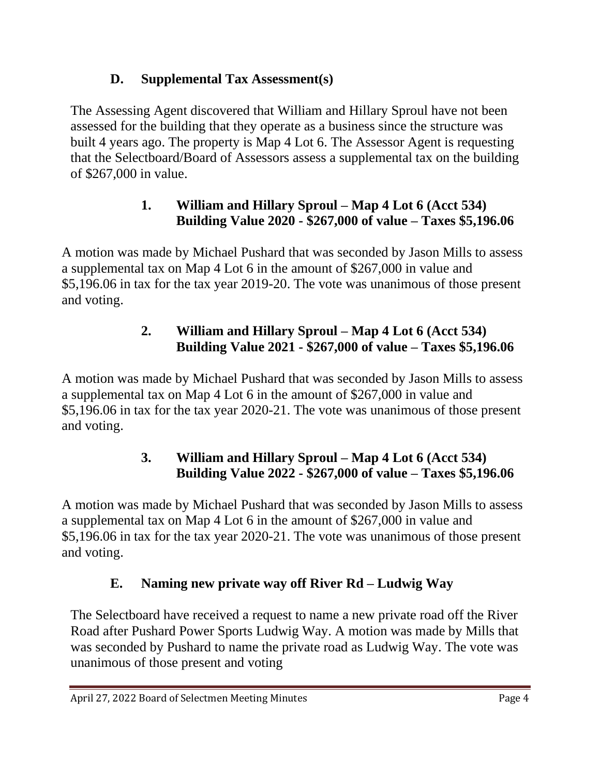## **D. Supplemental Tax Assessment(s)**

The Assessing Agent discovered that William and Hillary Sproul have not been assessed for the building that they operate as a business since the structure was built 4 years ago. The property is Map 4 Lot 6. The Assessor Agent is requesting that the Selectboard/Board of Assessors assess a supplemental tax on the building of \$267,000 in value.

## **1. William and Hillary Sproul – Map 4 Lot 6 (Acct 534) Building Value 2020 - \$267,000 of value – Taxes \$5,196.06**

A motion was made by Michael Pushard that was seconded by Jason Mills to assess a supplemental tax on Map 4 Lot 6 in the amount of \$267,000 in value and \$5,196.06 in tax for the tax year 2019-20. The vote was unanimous of those present and voting.

## **2. William and Hillary Sproul – Map 4 Lot 6 (Acct 534) Building Value 2021 - \$267,000 of value – Taxes \$5,196.06**

A motion was made by Michael Pushard that was seconded by Jason Mills to assess a supplemental tax on Map 4 Lot 6 in the amount of \$267,000 in value and \$5,196.06 in tax for the tax year 2020-21. The vote was unanimous of those present and voting.

## **3. William and Hillary Sproul – Map 4 Lot 6 (Acct 534) Building Value 2022 - \$267,000 of value – Taxes \$5,196.06**

A motion was made by Michael Pushard that was seconded by Jason Mills to assess a supplemental tax on Map 4 Lot 6 in the amount of \$267,000 in value and \$5,196.06 in tax for the tax year 2020-21. The vote was unanimous of those present and voting.

## **E. Naming new private way off River Rd – Ludwig Way**

The Selectboard have received a request to name a new private road off the River Road after Pushard Power Sports Ludwig Way. A motion was made by Mills that was seconded by Pushard to name the private road as Ludwig Way. The vote was unanimous of those present and voting